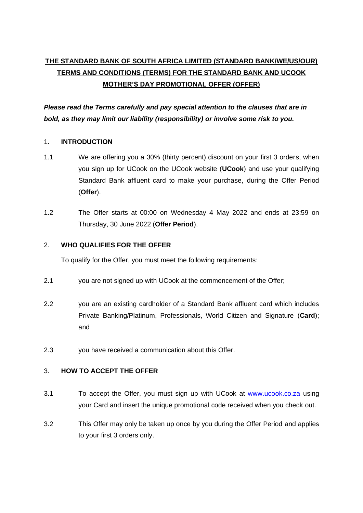# **THE STANDARD BANK OF SOUTH AFRICA LIMITED (STANDARD BANK/WE/US/OUR) TERMS AND CONDITIONS (TERMS) FOR THE STANDARD BANK AND UCOOK MOTHER'S DAY PROMOTIONAL OFFER (OFFER)**

*Please read the Terms carefully and pay special attention to the clauses that are in bold, as they may limit our liability (responsibility) or involve some risk to you.*

## 1. **INTRODUCTION**

- 1.1 We are offering you a 30% (thirty percent) discount on your first 3 orders, when you sign up for UCook on the UCook website (**UCook**) and use your qualifying Standard Bank affluent card to make your purchase, during the Offer Period (**Offer**).
- 1.2 The Offer starts at 00:00 on Wednesday 4 May 2022 and ends at 23:59 on Thursday, 30 June 2022 (**Offer Period**).

## <span id="page-0-0"></span>2. **WHO QUALIFIES FOR THE OFFER**

To qualify for the Offer, you must meet the following requirements:

- 2.1 you are not signed up with UCook at the commencement of the Offer;
- 2.2 you are an existing cardholder of a Standard Bank affluent card which includes Private Banking/Platinum, Professionals, World Citizen and Signature (**Card**); and
- 2.3 you have received a communication about this Offer.

#### <span id="page-0-1"></span>3. **HOW TO ACCEPT THE OFFER**

- 3.1 To accept the Offer, you must sign up with UCook at [www.ucook.co.za](http://www.ucook.co.za/) using your Card and insert the unique promotional code received when you check out.
- 3.2 This Offer may only be taken up once by you during the Offer Period and applies to your first 3 orders only.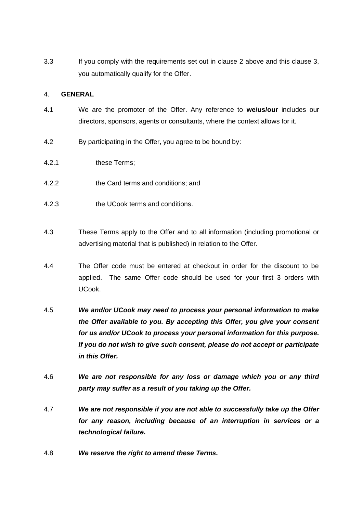3.3 If you comply with the requirements set out in clause [2](#page-0-0) above and this clause [3,](#page-0-1) you automatically qualify for the Offer.

#### 4. **GENERAL**

- 4.1 We are the promoter of the Offer. Any reference to **we/us/our** includes our directors, sponsors, agents or consultants, where the context allows for it.
- 4.2 By participating in the Offer, you agree to be bound by:
- 4.2.1 these Terms;
- 4.2.2 the Card terms and conditions; and
- 4.2.3 the UCook terms and conditions.
- 4.3 These Terms apply to the Offer and to all information (including promotional or advertising material that is published) in relation to the Offer.
- 4.4 The Offer code must be entered at checkout in order for the discount to be applied. The same Offer code should be used for your first 3 orders with UCook.
- 4.5 *We and/or UCook may need to process your personal information to make the Offer available to you. By accepting this Offer, you give your consent for us and/or UCook to process your personal information for this purpose. If you do not wish to give such consent, please do not accept or participate in this Offer.*
- 4.6 *We are not responsible for any loss or damage which you or any third party may suffer as a result of you taking up the Offer.*
- 4.7 *We are not responsible if you are not able to successfully take up the Offer for any reason, including because of an interruption in services or a technological failure.*
- 4.8 *We reserve the right to amend these Terms.*